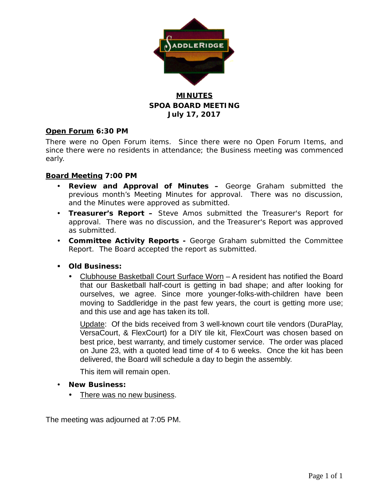

### **MINUTES SPOA BOARD MEETING July 17, 2017**

#### **Open Forum 6:30 PM**

There were no Open Forum items. Since there were no Open Forum Items, and since there were no residents in attendance; the Business meeting was commenced early.

#### **Board Meeting 7:00 PM**

- **Review and Approval of Minutes –** George Graham submitted the previous month's Meeting Minutes for approval. There was no discussion, and the Minutes were approved as submitted.
- **Treasurer's Report –** Steve Amos submitted the Treasurer's Report for approval. There was no discussion, and the Treasurer's Report was approved as submitted.
- **Committee Activity Reports -** George Graham submitted the Committee Report. The Board accepted the report as submitted.

#### **Old Business:**

 Clubhouse Basketball Court Surface Worn – A resident has notified the Board that our Basketball half-court is getting in bad shape; and after looking for ourselves, we agree. Since more younger-folks-with-children have been moving to Saddleridge in the past few years, the court is getting more use; and this use and age has taken its toll.

Update: Of the bids received from 3 well-known court tile vendors (DuraPlay, VersaCourt, & FlexCourt) for a DIY tile kit, FlexCourt was chosen based on best price, best warranty, and timely customer service. The order was placed on June 23, with a quoted lead time of 4 to 6 weeks. Once the kit has been delivered, the Board will schedule a day to begin the assembly.

This item will remain open.

- **New Business:**
	- There was no new business.

The meeting was adjourned at 7:05 PM.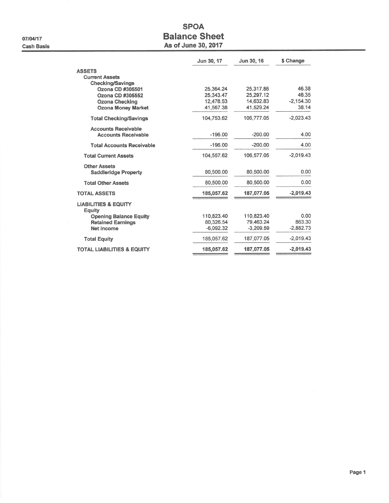07/04/17 **Cash Basis** 

## **SPOA Balance Sheet** As of June 30, 2017

|                                             | Jun 30, 17  | Jun 30, 16  | \$ Change   |
|---------------------------------------------|-------------|-------------|-------------|
| <b>ASSETS</b>                               |             |             |             |
| <b>Current Assets</b>                       |             |             |             |
| <b>Checking/Savings</b><br>Ozona CD #305501 | 25,364.24   | 25,317.86   | 46.38       |
| Ozona CD #305552                            | 25.343.47   | 25.297.12   | 46.35       |
| <b>Ozona Checking</b>                       | 12,478.53   | 14,632.83   | $-2.154.30$ |
| <b>Ozona Money Market</b>                   | 41,567.38   | 41.529.24   | 38.14       |
| <b>Total Checking/Savings</b>               | 104.753.62  | 106,777.05  | $-2,023.43$ |
| <b>Accounts Receivable</b>                  |             |             |             |
| <b>Accounts Receivable</b>                  | $-196.00$   | $-200.00$   | 4.00        |
| <b>Total Accounts Receivable</b>            | $-196.00$   | $-200.00$   | 4.00        |
| <b>Total Current Assets</b>                 | 104.557.62  | 106,577.05  | $-2.019.43$ |
| <b>Other Assets</b>                         |             |             |             |
| <b>Saddleridge Property</b>                 | 80,500.00   | 80,500.00   | 0.00        |
| <b>Total Other Assets</b>                   | 80,500.00   | 80.500.00   | 0.00        |
| <b>TOTAL ASSETS</b>                         | 185,057.62  | 187,077.05  | $-2,019.43$ |
| <b>LIABILITIES &amp; EQUITY</b><br>Equity   |             |             |             |
| <b>Opening Balance Equity</b>               | 110.823.40  | 110.823.40  | 0.00        |
| <b>Retained Earnings</b>                    | 80,326.54   | 79.463.24   | 863.30      |
| Net Income                                  | $-6.092.32$ | $-3,209.59$ | $-2,882.73$ |
| <b>Total Equity</b>                         | 185,057.62  | 187,077.05  | $-2.019.43$ |
| <b>TOTAL LIABILITIES &amp; EQUITY</b>       | 185,057.62  | 187.077.05  | $-2,019.43$ |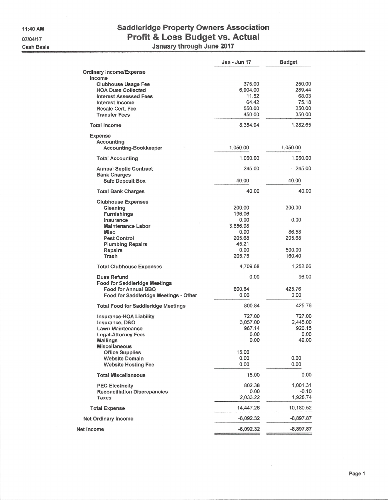# **Saddleridge Property Owners Association** Profit & Loss Budget vs. Actual<br>January through June 2017

|                                                  | Jan - Jun 17 | <b>Budget</b> |
|--------------------------------------------------|--------------|---------------|
| <b>Ordinary Income/Expense</b>                   |              |               |
| Income                                           |              |               |
| <b>Clubhouse Usage Fee</b>                       | 375.00       | 250.00        |
| <b>HOA Dues Collected</b>                        | 6,904.00     | 289.44        |
| <b>Interest Assessed Fees</b>                    | 11.52        | 68.03         |
| Interest Income                                  | 64.42        | 75.18         |
| <b>Resale Cert. Fee</b>                          | 550.00       | 250.00        |
| <b>Transfer Fees</b>                             | 450.00       | 350.00        |
|                                                  |              |               |
| <b>Total Income</b>                              | 8,354.94     | 1,282.65      |
| <b>Expense</b>                                   |              |               |
| Accounting                                       |              |               |
| <b>Accounting-Bookkeeper</b>                     | 1,050.00     | 1,050.00      |
| <b>Total Accounting</b>                          | 1,050.00     | 1,050.00      |
| <b>Annual Septic Contract</b>                    | 245.00       | 245.00        |
| <b>Bank Charges</b>                              |              |               |
| <b>Safe Deposit Box</b>                          | 40.00        | 40.00         |
| <b>Total Bank Charges</b>                        | 40.00        | 40.00         |
| <b>Clubhouse Expenses</b>                        |              |               |
| Cleaning                                         | 200.00       | 300.00        |
| <b>Furnishings</b>                               | 196.06       |               |
| Insurance                                        | 0.00         | 0.00          |
| <b>Maintenance Labor</b>                         | 3,856.98     |               |
| <b>Misc</b>                                      | 0.00         | 86.58         |
| <b>Pest Control</b>                              | 205.68       | 205.68        |
| <b>Plumbing Repairs</b>                          | 45.21        |               |
| <b>Repairs</b>                                   | 0.00         | 500.00        |
| Trash                                            | 205.75       | 160.40        |
| <b>Total Clubhouse Expenses</b>                  | 4,709.68     | 1,252.66      |
| <b>Dues Refund</b>                               | 0.00         | 96.00         |
| <b>Food for Saddleridge Meetings</b>             |              |               |
| <b>Food for Annual BBQ</b>                       | 800.84       | 425.76        |
| Food for Saddleridge Meetings - Other            | 0.00         | 0.00          |
| <b>Total Food for Saddleridge Meetings</b>       | 800.84       | 425.76        |
|                                                  | 727.00       | 727.00        |
| <b>Insurance-HOA Liability</b><br>Insurance, D&O | 3.057.00     | 2,445.00      |
| <b>Lawn Maintenance</b>                          | 967.14       | 920.15        |
| <b>Legal-Attorney Fees</b>                       | 0.00         | 0.00          |
| <b>Mailings</b>                                  | 0.00         | 49.00         |
| <b>Miscellaneous</b>                             |              |               |
| <b>Office Supplies</b>                           | 15.00        |               |
| <b>Website Domain</b>                            | 0.00         | 0.00          |
| <b>Website Hosting Fee</b>                       | 0.00         | 0.00          |
|                                                  |              |               |
| <b>Total Miscellaneous</b>                       | 15.00        | 0.00          |
| <b>PEC Electricity</b>                           | 802.38       | 1,001.31      |
| <b>Reconciliation Discrepancies</b>              | 0.00         | $-0.10$       |
| <b>Taxes</b>                                     | 2,033.22     | 1,928.74      |
| <b>Total Expense</b>                             | 14,447.26    | 10,180.52     |
| <b>Net Ordinary Income</b>                       | -6,092.32    | $-8,897.87$   |
| Net Income                                       | $-6,092.32$  | $-8,897.87$   |